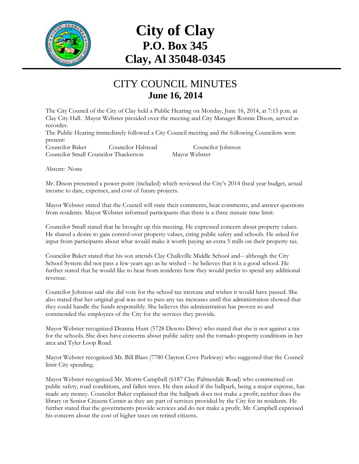

## **City of Clay P.O. Box 345 Clay, Al 35048-0345**

## CITY COUNCIL MINUTES **June 16, 2014**

The City Council of the City of Clay held a Public Hearing on Monday, June 16, 2014, at 7:15 p.m. at Clay City Hall. Mayor Webster presided over the meeting and City Manager Ronnie Dixon, served as recorder.

The Public Hearing immediately followed a City Council meeting and the following Councilors were present:

Councilor Baker Councilor Halstead Councilor Johnson Councilor Small Councilor Thackerson Mayor Webster

Absent: None

Mr. Dixon presented a power point (included) which reviewed the City's 2014 fiscal year budget, actual income to date, expenses, and cost of future projects.

Mayor Webster stated that the Council will state their comments, hear comments, and answer questions from residents. Mayor Webster informed participants that there is a three minute time limit.

Councilor Small stated that he brought up this meeting. He expressed concern about property values. He shared a desire to gain control over property values, citing public safety and schools. He asked for input from participants about what would make it worth paying an extra 5 mills on their property tax.

Councilor Baker stated that his son attends Clay Chalkville Middle School and-- although the City School System did not pass a few years ago as he wished – he believes that it is a good school. He further stated that he would like to hear from residents how they would prefer to spend any additional revenue.

Councilor Johnson said she did vote for the school tax increase and wishes it would have passed. She also stated that her original goal was not to pass any tax increases until this administration showed that they could handle the funds responsibly. She believes this administration has proven so and commended the employees of the City for the services they provide.

Mayor Webster recognized Deanna Hunt (5728 Desoto Drive) who stated that she is not against a tax for the schools. She does have concerns about public safety and the tornado property conditions in her area and Tyler Loop Road.

Mayor Webster recognized Mr. Bill Blass (7780 Clayton Cove Parkway) who suggested that the Council limit City spending.

Mayor Webster recognized Mr. Morris Campbell (6187 Clay Palmerdale Road) who commented on public safety, road conditions, and fallen trees. He then asked if the ballpark, being a major expense, has made any money. Councilor Baker explained that the ballpark does not make a profit; neither does the library or Senior Citizens Center as they are part of services provided by the City for its residents. He further stated that the governments provide services and do not make a profit. Mr. Campbell expressed his concern about the cost of higher taxes on retired citizens.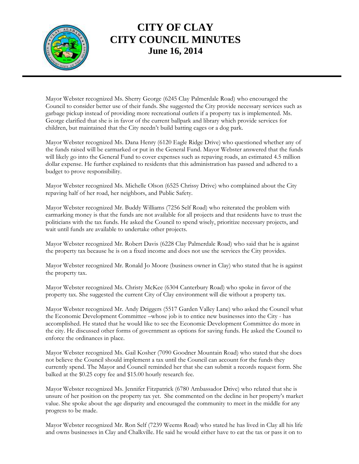

## **CITY OF CLAY CITY COUNCIL MINUTES June 16, 2014**

Mayor Webster recognized Ms. Sherry George (6245 Clay Palmerdale Road) who encouraged the Council to consider better use of their funds. She suggested the City provide necessary services such as garbage pickup instead of providing more recreational outlets if a property tax is implemented. Ms. George clarified that she is in favor of the current ballpark and library which provide services for children, but maintained that the City needn't build batting cages or a dog park.

Mayor Webster recognized Ms. Dana Henry (6120 Eagle Ridge Drive) who questioned whether any of the funds raised will be earmarked or put in the General Fund. Mayor Webster answered that the funds will likely go into the General Fund to cover expenses such as repaving roads, an estimated 4.5 million dollar expense. He further explained to residents that this administration has passed and adhered to a budget to prove responsibility.

Mayor Webster recognized Ms. Michelle Olson (6525 Chrissy Drive) who complained about the City repaving half of her road, her neighbors, and Public Safety.

Mayor Webster recognized Mr. Buddy Williams (7256 Self Road) who reiterated the problem with earmarking money is that the funds are not available for all projects and that residents have to trust the politicians with the tax funds. He asked the Council to spend wisely, prioritize necessary projects, and wait until funds are available to undertake other projects.

Mayor Webster recognized Mr. Robert Davis (6228 Clay Palmerdale Road) who said that he is against the property tax because he is on a fixed income and does not use the services the City provides.

Mayor Webster recognized Mr. Ronald Jo Moore (business owner in Clay) who stated that he is against the property tax.

Mayor Webster recognized Ms. Christy McKee (6304 Canterbury Road) who spoke in favor of the property tax. She suggested the current City of Clay environment will die without a property tax.

Mayor Webster recognized Mr. Andy Driggers (5517 Garden Valley Lane) who asked the Council what the Economic Development Committee –whose job is to entice new businesses into the City - has accomplished. He stated that he would like to see the Economic Development Committee do more in the city. He discussed other forms of government as options for saving funds. He asked the Council to enforce the ordinances in place.

Mayor Webster recognized Ms. Gail Kosher (7090 Goodner Mountain Road) who stated that she does not believe the Council should implement a tax until the Council can account for the funds they currently spend. The Mayor and Council reminded her that she can submit a records request form. She balked at the \$0.25 copy fee and \$15.00 hourly research fee.

Mayor Webster recognized Ms. Jennifer Fitzpatrick (6780 Ambassador Drive) who related that she is unsure of her position on the property tax yet. She commented on the decline in her property's market value. She spoke about the age disparity and encouraged the community to meet in the middle for any progress to be made.

Mayor Webster recognized Mr. Ron Self (7239 Weems Road) who stated he has lived in Clay all his life and owns businesses in Clay and Chalkville. He said he would either have to eat the tax or pass it on to